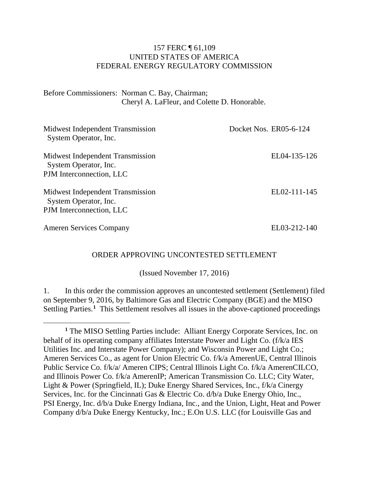## 157 FERC ¶ 61,109 UNITED STATES OF AMERICA FEDERAL ENERGY REGULATORY COMMISSION

Before Commissioners: Norman C. Bay, Chairman; Cheryl A. LaFleur, and Colette D. Honorable.

| Midwest Independent Transmission<br>System Operator, Inc.                             | Docket Nos. ER05-6-124 |
|---------------------------------------------------------------------------------------|------------------------|
| Midwest Independent Transmission<br>System Operator, Inc.<br>PJM Interconnection, LLC | EL04-135-126           |
| Midwest Independent Transmission<br>System Operator, Inc.<br>PJM Interconnection, LLC | EL02-111-145           |
| <b>Ameren Services Company</b>                                                        | EL03-212-140           |

## ORDER APPROVING UNCONTESTED SETTLEMENT

(Issued November 17, 2016)

1. In this order the commission approves an uncontested settlement (Settlement) filed on September 9, 2016, by Baltimore Gas and Electric Company (BGE) and the MISO Settling Parties.<sup>[1](#page-0-0)</sup> This Settlement resolves all issues in the above-captioned proceedings

 $\overline{a}$ 

<span id="page-0-0"></span>**<sup>1</sup>** The MISO Settling Parties include: Alliant Energy Corporate Services, Inc. on behalf of its operating company affiliates Interstate Power and Light Co. (f/k/a IES Utilities Inc. and Interstate Power Company); and Wisconsin Power and Light Co.; Ameren Services Co., as agent for Union Electric Co. f/k/a AmerenUE, Central Illinois Public Service Co. f/k/a/ Ameren CIPS; Central Illinois Light Co. f/k/a AmerenCILCO, and Illinois Power Co. f/k/a AmerenIP; American Transmission Co. LLC; City Water, Light & Power (Springfield, IL); Duke Energy Shared Services, Inc., f/k/a Cinergy Services, Inc. for the Cincinnati Gas & Electric Co. d/b/a Duke Energy Ohio, Inc., PSI Energy, Inc. d/b/a Duke Energy Indiana, Inc., and the Union, Light, Heat and Power Company d/b/a Duke Energy Kentucky, Inc.; E.On U.S. LLC (for Louisville Gas and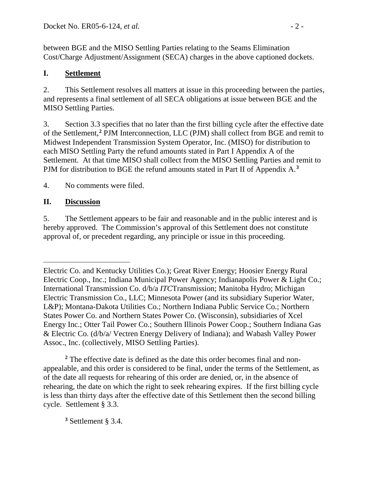between BGE and the MISO Settling Parties relating to the Seams Elimination Cost/Charge Adjustment/Assignment (SECA) charges in the above captioned dockets.

## **I. Settlement**

2. This Settlement resolves all matters at issue in this proceeding between the parties, and represents a final settlement of all SECA obligations at issue between BGE and the MISO Settling Parties.

3. Section 3.3 specifies that no later than the first billing cycle after the effective date of the Settlement, **[2](#page-1-0)** PJM Interconnection, LLC (PJM) shall collect from BGE and remit to Midwest Independent Transmission System Operator, Inc. (MISO) for distribution to each MISO Settling Party the refund amounts stated in Part I Appendix A of the Settlement. At that time MISO shall collect from the MISO Settling Parties and remit to PJM for distribution to BGE the refund amounts stated in Part II of Appendix A.**[3](#page-1-1)**

4. No comments were filed.

## **II. Discussion**

 $\overline{a}$ 

5. The Settlement appears to be fair and reasonable and in the public interest and is hereby approved. The Commission's approval of this Settlement does not constitute approval of, or precedent regarding, any principle or issue in this proceeding.

<span id="page-1-0"></span>**<sup>2</sup>** The effective date is defined as the date this order becomes final and nonappealable, and this order is considered to be final, under the terms of the Settlement, as of the date all requests for rehearing of this order are denied, or, in the absence of rehearing, the date on which the right to seek rehearing expires. If the first billing cycle is less than thirty days after the effective date of this Settlement then the second billing cycle. Settlement § 3.3.

<span id="page-1-1"></span>**<sup>3</sup>** Settlement § 3.4.

Electric Co. and Kentucky Utilities Co.); Great River Energy; Hoosier Energy Rural Electric Coop., Inc.; Indiana Municipal Power Agency; Indianapolis Power & Light Co.; International Transmission Co. d/b/a *ITC*Transmission; Manitoba Hydro; Michigan Electric Transmission Co., LLC; Minnesota Power (and its subsidiary Superior Water, L&P); Montana-Dakota Utilities Co.; Northern Indiana Public Service Co.; Northern States Power Co. and Northern States Power Co. (Wisconsin), subsidiaries of Xcel Energy Inc.; Otter Tail Power Co.; Southern Illinois Power Coop.; Southern Indiana Gas & Electric Co. (d/b/a/ Vectren Energy Delivery of Indiana); and Wabash Valley Power Assoc., Inc. (collectively, MISO Settling Parties).